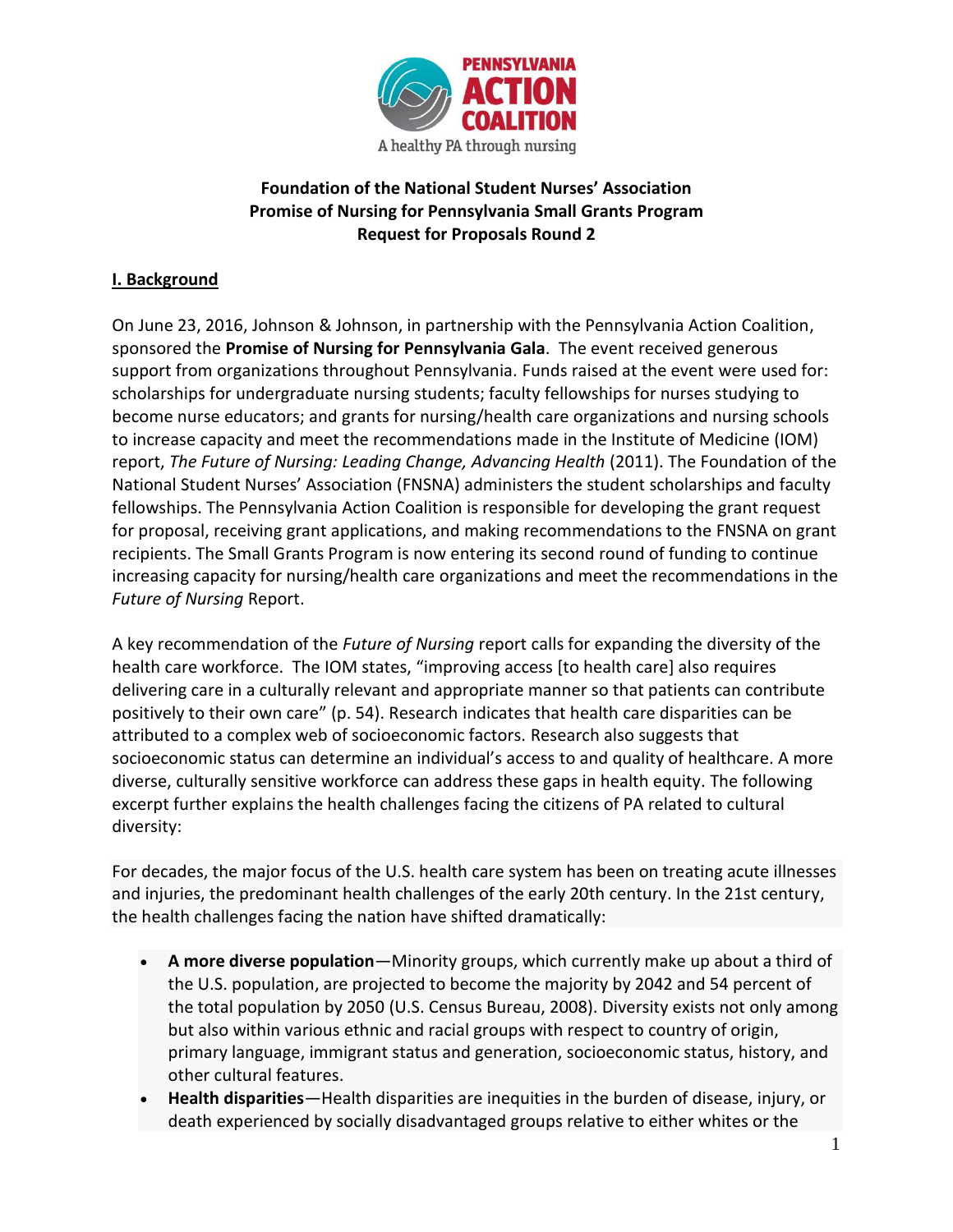

## **Foundation of the National Student Nurses' Association Promise of Nursing for Pennsylvania Small Grants Program Request for Proposals Round 2**

## **I. Background**

On June 23, 2016, Johnson & Johnson, in partnership with the Pennsylvania Action Coalition, sponsored the **Promise of Nursing for Pennsylvania Gala**. The event received generous support from organizations throughout Pennsylvania. Funds raised at the event were used for: scholarships for undergraduate nursing students; faculty fellowships for nurses studying to become nurse educators; and grants for nursing/health care organizations and nursing schools to increase capacity and meet the recommendations made in the Institute of Medicine (IOM) report, *The Future of Nursing: Leading Change, Advancing Health* (2011). The Foundation of the National Student Nurses' Association (FNSNA) administers the student scholarships and faculty fellowships. The Pennsylvania Action Coalition is responsible for developing the grant request for proposal, receiving grant applications, and making recommendations to the FNSNA on grant recipients. The Small Grants Program is now entering its second round of funding to continue increasing capacity for nursing/health care organizations and meet the recommendations in the *Future of Nursing* Report.

A key recommendation of the *Future of Nursing* report calls for expanding the diversity of the health care workforce. The IOM states, "improving access [to health care] also requires delivering care in a culturally relevant and appropriate manner so that patients can contribute positively to their own care" (p. 54). Research indicates that health care disparities can be attributed to a complex web of socioeconomic factors. Research also suggests that socioeconomic status can determine an individual's access to and quality of healthcare. A more diverse, culturally sensitive workforce can address these gaps in health equity. The following excerpt further explains the health challenges facing the citizens of PA related to cultural diversity:

For decades, the major focus of the U.S. health care system has been on treating acute illnesses and injuries, the predominant health challenges of the early 20th century. In the 21st century, the health challenges facing the nation have shifted dramatically:

- **A more diverse population**—Minority groups, which currently make up about a third of the U.S. population, are projected to become the majority by 2042 and 54 percent of the total population by 2050 (U.S. Census Bureau, 2008). Diversity exists not only among but also within various ethnic and racial groups with respect to country of origin, primary language, immigrant status and generation, socioeconomic status, history, and other cultural features.
- **Health disparities**—Health disparities are inequities in the burden of disease, injury, or death experienced by socially disadvantaged groups relative to either whites or the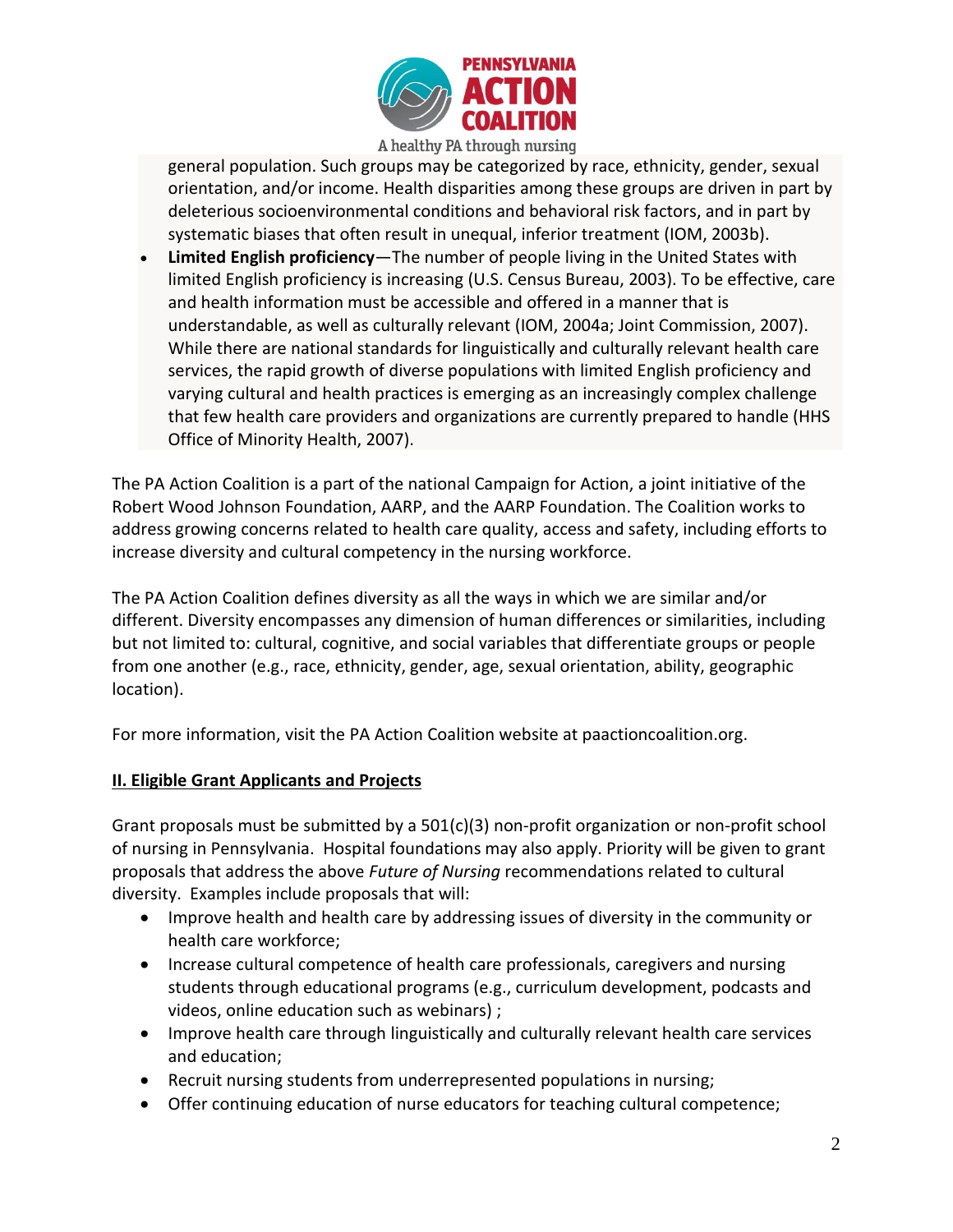

general population. Such groups may be categorized by race, ethnicity, gender, sexual orientation, and/or income. Health disparities among these groups are driven in part by deleterious socioenvironmental conditions and behavioral risk factors, and in part by systematic biases that often result in unequal, inferior treatment (IOM, 2003b).

 **Limited English proficiency**—The number of people living in the United States with limited English proficiency is increasing (U.S. Census Bureau, 2003). To be effective, care and health information must be accessible and offered in a manner that is understandable, as well as culturally relevant (IOM, 2004a; Joint Commission, 2007). While there are national standards for linguistically and culturally relevant health care services, the rapid growth of diverse populations with limited English proficiency and varying cultural and health practices is emerging as an increasingly complex challenge that few health care providers and organizations are currently prepared to handle (HHS Office of Minority Health, 2007).

The PA Action Coalition is a part of the national Campaign for Action, a joint initiative of the Robert Wood Johnson Foundation, AARP, and the AARP Foundation. The Coalition works to address growing concerns related to health care quality, access and safety, including efforts to increase diversity and cultural competency in the nursing workforce.

The PA Action Coalition defines diversity as all the ways in which we are similar and/or different. Diversity encompasses any dimension of human differences or similarities, including but not limited to: cultural, cognitive, and social variables that differentiate groups or people from one another (e.g., race, ethnicity, gender, age, sexual orientation, ability, geographic location).

For more information, visit the PA Action Coalition website at paactioncoalition.org.

## **II. Eligible Grant Applicants and Projects**

Grant proposals must be submitted by a 501(c)(3) non-profit organization or non-profit school of nursing in Pennsylvania. Hospital foundations may also apply. Priority will be given to grant proposals that address the above *Future of Nursing* recommendations related to cultural diversity. Examples include proposals that will:

- Improve health and health care by addressing issues of diversity in the community or health care workforce;
- Increase cultural competence of health care professionals, caregivers and nursing students through educational programs (e.g., curriculum development, podcasts and videos, online education such as webinars) ;
- Improve health care through linguistically and culturally relevant health care services and education;
- Recruit nursing students from underrepresented populations in nursing;
- Offer continuing education of nurse educators for teaching cultural competence;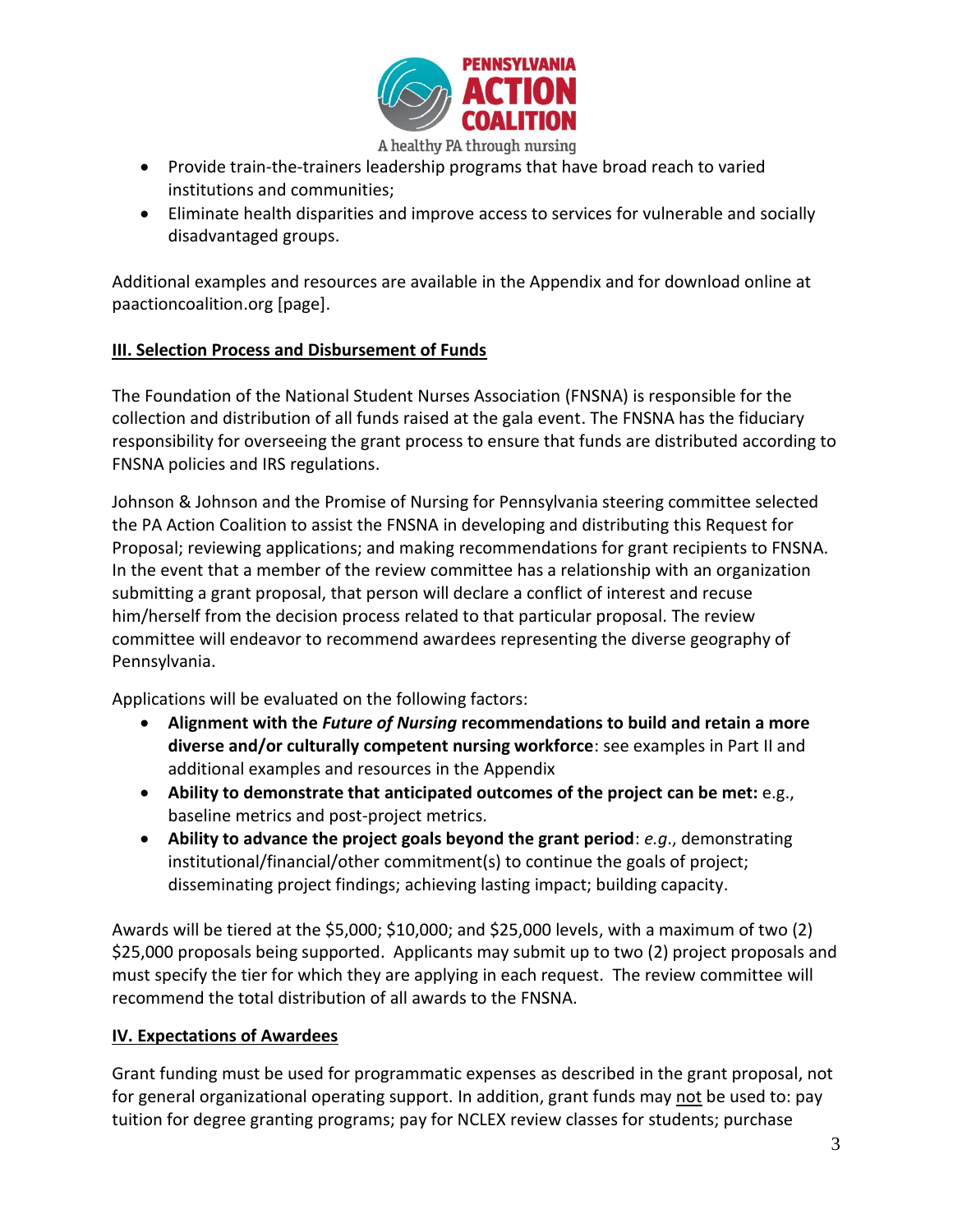

A healthy PA through nursing

- Provide train-the-trainers leadership programs that have broad reach to varied institutions and communities;
- Eliminate health disparities and improve access to services for vulnerable and socially disadvantaged groups.

Additional examples and resources are available in the Appendix and for download online at paactioncoalition.org [page].

## **III. Selection Process and Disbursement of Funds**

The Foundation of the National Student Nurses Association (FNSNA) is responsible for the collection and distribution of all funds raised at the gala event. The FNSNA has the fiduciary responsibility for overseeing the grant process to ensure that funds are distributed according to FNSNA policies and IRS regulations.

Johnson & Johnson and the Promise of Nursing for Pennsylvania steering committee selected the PA Action Coalition to assist the FNSNA in developing and distributing this Request for Proposal; reviewing applications; and making recommendations for grant recipients to FNSNA. In the event that a member of the review committee has a relationship with an organization submitting a grant proposal, that person will declare a conflict of interest and recuse him/herself from the decision process related to that particular proposal. The review committee will endeavor to recommend awardees representing the diverse geography of Pennsylvania.

Applications will be evaluated on the following factors:

- **Alignment with the** *Future of Nursing* **recommendations to build and retain a more diverse and/or culturally competent nursing workforce**: see examples in Part II and additional examples and resources in the Appendix
- **Ability to demonstrate that anticipated outcomes of the project can be met:** e.g., baseline metrics and post-project metrics.
- **Ability to advance the project goals beyond the grant period**: *e.g*., demonstrating institutional/financial/other commitment(s) to continue the goals of project; disseminating project findings; achieving lasting impact; building capacity.

Awards will be tiered at the \$5,000; \$10,000; and \$25,000 levels, with a maximum of two (2) \$25,000 proposals being supported. Applicants may submit up to two (2) project proposals and must specify the tier for which they are applying in each request. The review committee will recommend the total distribution of all awards to the FNSNA.

## **IV. Expectations of Awardees**

Grant funding must be used for programmatic expenses as described in the grant proposal, not for general organizational operating support. In addition, grant funds may not be used to: pay tuition for degree granting programs; pay for NCLEX review classes for students; purchase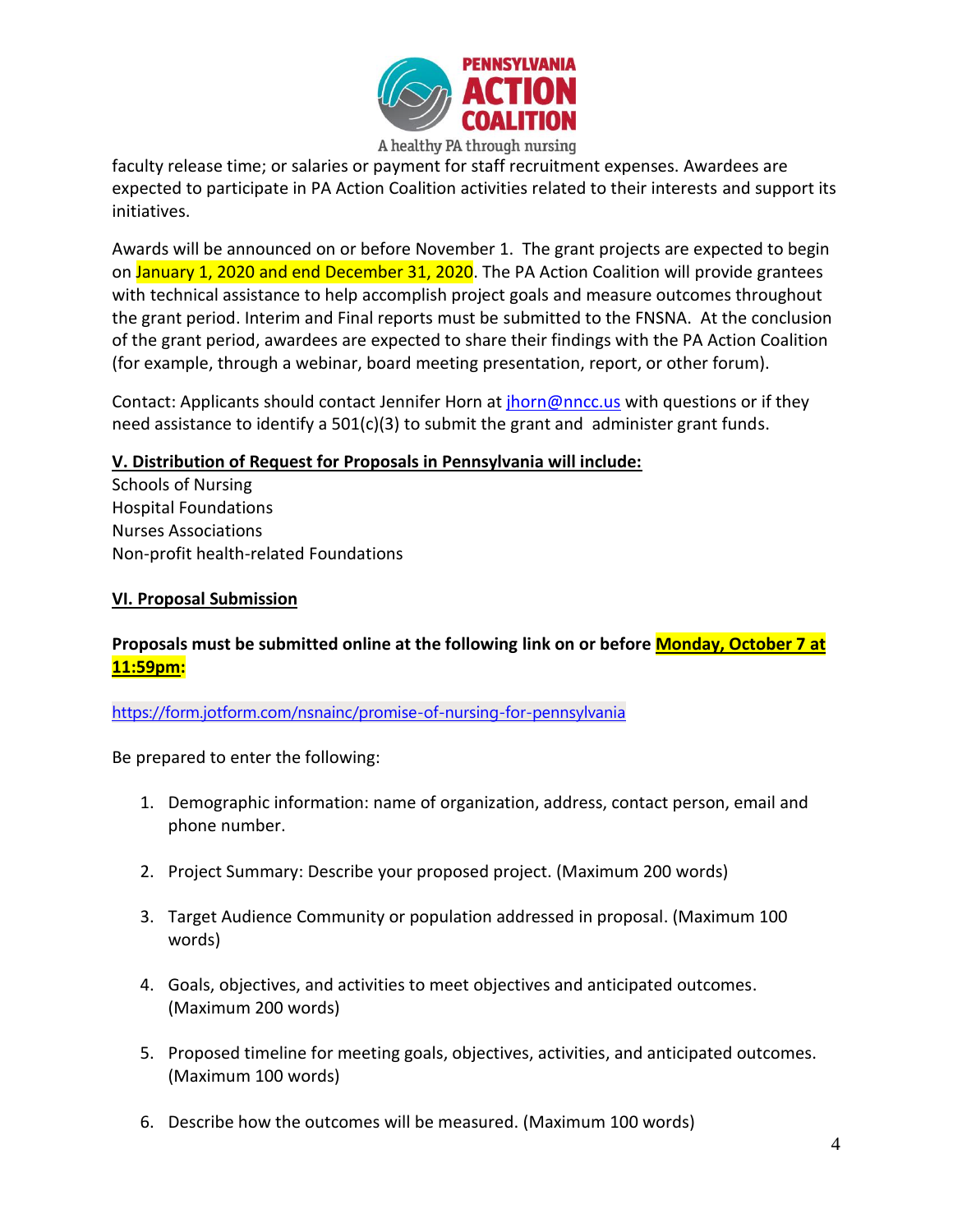

faculty release time; or salaries or payment for staff recruitment expenses. Awardees are expected to participate in PA Action Coalition activities related to their interests and support its initiatives.

Awards will be announced on or before November 1. The grant projects are expected to begin on January 1, 2020 and end December 31, 2020. The PA Action Coalition will provide grantees with technical assistance to help accomplish project goals and measure outcomes throughout the grant period. Interim and Final reports must be submitted to the FNSNA. At the conclusion of the grant period, awardees are expected to share their findings with the PA Action Coalition (for example, through a webinar, board meeting presentation, report, or other forum).

Contact: Applicants should contact Jennifer Horn at [jhorn@nncc.us](mailto:jhorn@nncc.us) with questions or if they need assistance to identify a 501(c)(3) to submit the grant and administer grant funds.

## **V. Distribution of Request for Proposals in Pennsylvania will include:**

Schools of Nursing Hospital Foundations Nurses Associations Non-profit health-related Foundations

## **VI. Proposal Submission**

## **Proposals must be submitted online at the following link on or before Monday, October 7 at 11:59pm:**

<https://form.jotform.com/nsnainc/promise-of-nursing-for-pennsylvania>

Be prepared to enter the following:

- 1. Demographic information: name of organization, address, contact person, email and phone number.
- 2. Project Summary: Describe your proposed project. (Maximum 200 words)
- 3. Target Audience Community or population addressed in proposal. (Maximum 100 words)
- 4. Goals, objectives, and activities to meet objectives and anticipated outcomes. (Maximum 200 words)
- 5. Proposed timeline for meeting goals, objectives, activities, and anticipated outcomes. (Maximum 100 words)
- 6. Describe how the outcomes will be measured. (Maximum 100 words)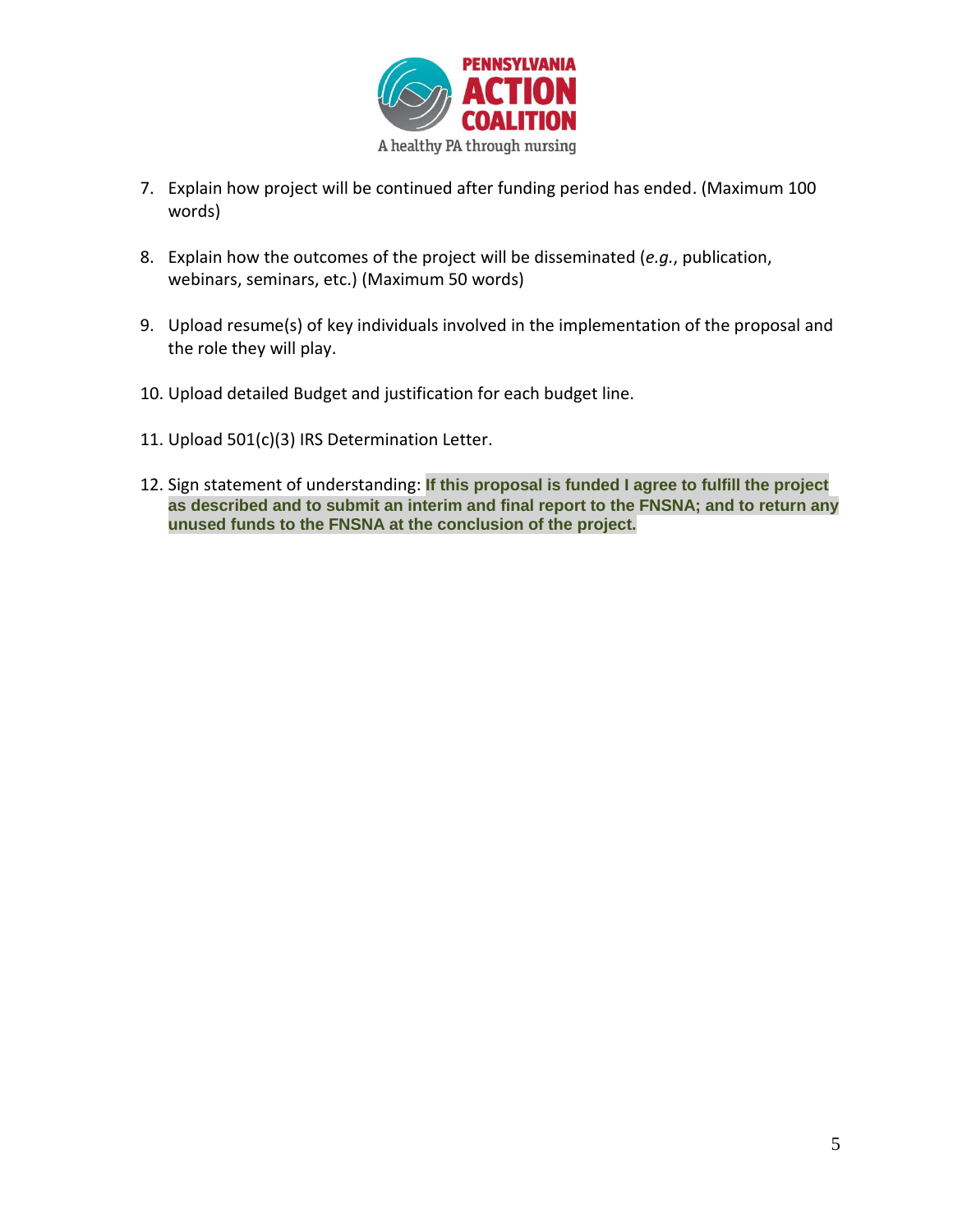

- 7. Explain how project will be continued after funding period has ended. (Maximum 100 words)
- 8. Explain how the outcomes of the project will be disseminated (*e.g.*, publication, webinars, seminars, etc.) (Maximum 50 words)
- 9. Upload resume(s) of key individuals involved in the implementation of the proposal and the role they will play.
- 10. Upload detailed Budget and justification for each budget line.
- 11. Upload 501(c)(3) IRS Determination Letter.
- 12. Sign statement of understanding: **If this proposal is funded I agree to fulfill the project as described and to submit an interim and final report to the FNSNA; and to return any unused funds to the FNSNA at the conclusion of the project.**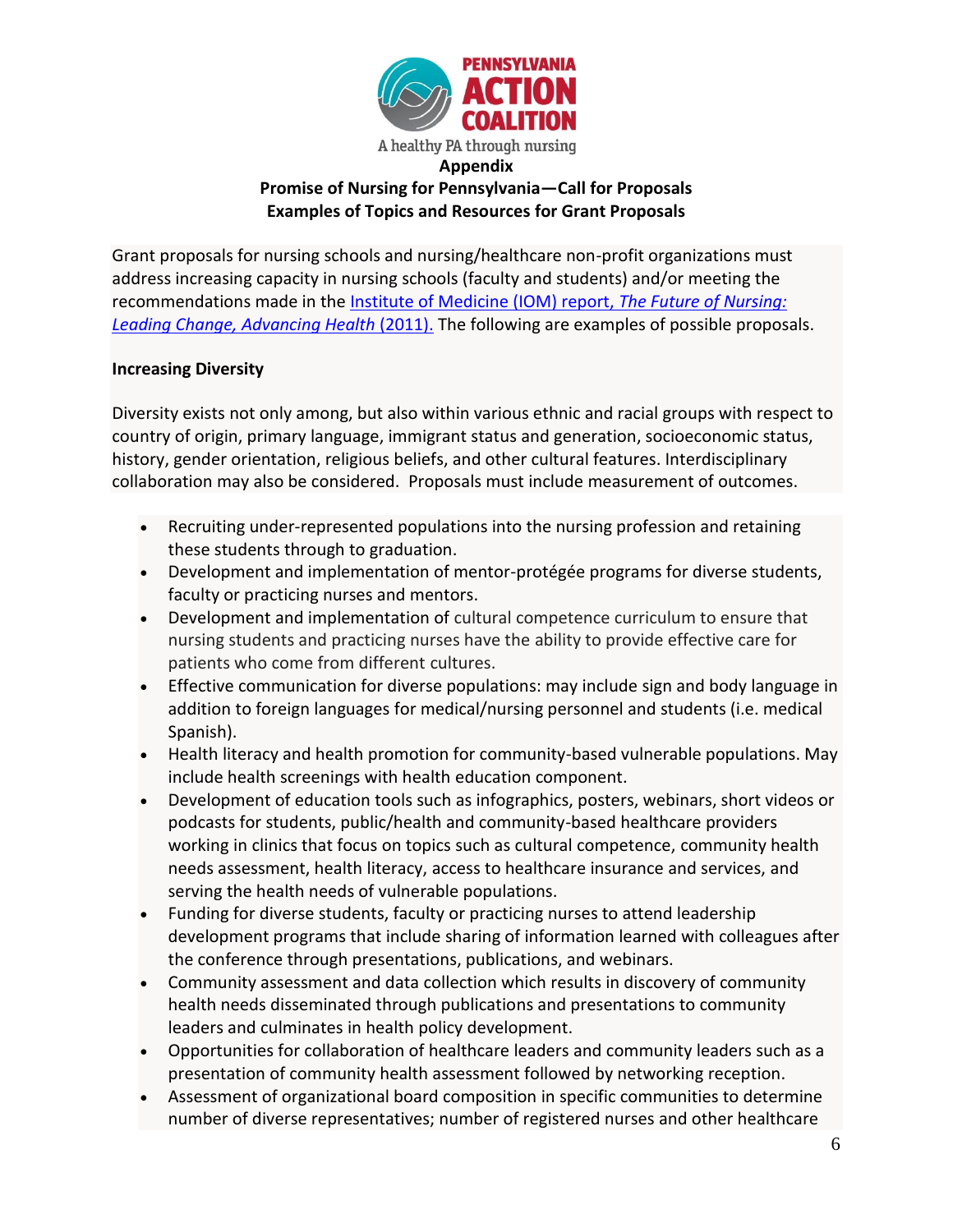

# **Promise of Nursing for Pennsylvania—Call for Proposals Examples of Topics and Resources for Grant Proposals**

Grant proposals for nursing schools and nursing/healthcare non-profit organizations must address increasing capacity in nursing schools (faculty and students) and/or meeting the recommendations made in the [Institute of Medicine \(IOM\) report,](http://www.nationalacademies.org/hmd/Reports/2010/The-Future-of-Nursing-Leading-Change-Advancing-Health.aspx) *The Future of Nursing: [Leading Change, Advancing Health](http://www.nationalacademies.org/hmd/Reports/2010/The-Future-of-Nursing-Leading-Change-Advancing-Health.aspx)* (2011). The following are examples of possible proposals.

## **Increasing Diversity**

Diversity exists not only among, but also within various ethnic and racial groups with respect to country of origin, primary language, immigrant status and generation, socioeconomic status, history, gender orientation, religious beliefs, and other cultural features. Interdisciplinary collaboration may also be considered. Proposals must include measurement of outcomes.

- Recruiting under-represented populations into the nursing profession and retaining these students through to graduation.
- Development and implementation of mentor-protégée programs for diverse students, faculty or practicing nurses and mentors.
- Development and implementation of cultural competence curriculum to ensure that nursing students and practicing nurses have the ability to provide effective care for patients who come from different cultures.
- Effective communication for diverse populations: may include sign and body language in addition to foreign languages for medical/nursing personnel and students (i.e. medical Spanish).
- Health literacy and health promotion for community-based vulnerable populations. May include health screenings with health education component.
- Development of education tools such as infographics, posters, webinars, short videos or podcasts for students, public/health and community-based healthcare providers working in clinics that focus on topics such as cultural competence, community health needs assessment, health literacy, access to healthcare insurance and services, and serving the health needs of vulnerable populations.
- Funding for diverse students, faculty or practicing nurses to attend leadership development programs that include sharing of information learned with colleagues after the conference through presentations, publications, and webinars.
- Community assessment and data collection which results in discovery of community health needs disseminated through publications and presentations to community leaders and culminates in health policy development.
- Opportunities for collaboration of healthcare leaders and community leaders such as a presentation of community health assessment followed by networking reception.
- Assessment of organizational board composition in specific communities to determine number of diverse representatives; number of registered nurses and other healthcare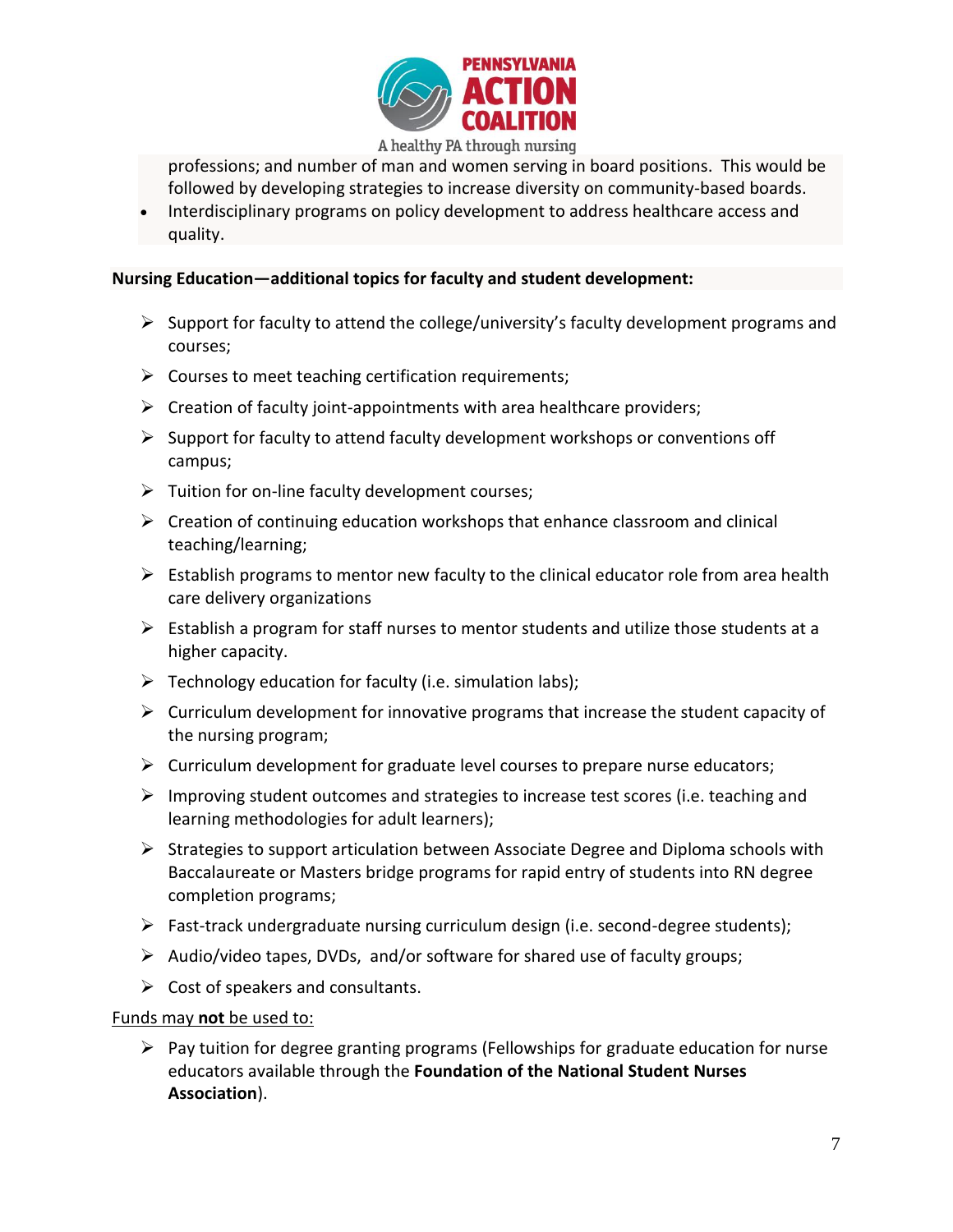

professions; and number of man and women serving in board positions. This would be followed by developing strategies to increase diversity on community-based boards.

• Interdisciplinary programs on policy development to address healthcare access and quality.

#### **Nursing Education—additional topics for faculty and student development:**

- $\triangleright$  Support for faculty to attend the college/university's faculty development programs and courses;
- $\triangleright$  Courses to meet teaching certification requirements;
- $\triangleright$  Creation of faculty joint-appointments with area healthcare providers;
- $\triangleright$  Support for faculty to attend faculty development workshops or conventions off campus;
- $\triangleright$  Tuition for on-line faculty development courses;
- $\triangleright$  Creation of continuing education workshops that enhance classroom and clinical teaching/learning;
- $\triangleright$  Establish programs to mentor new faculty to the clinical educator role from area health care delivery organizations
- $\triangleright$  Establish a program for staff nurses to mentor students and utilize those students at a higher capacity.
- $\triangleright$  Technology education for faculty (i.e. simulation labs);
- $\triangleright$  Curriculum development for innovative programs that increase the student capacity of the nursing program;
- $\triangleright$  Curriculum development for graduate level courses to prepare nurse educators;
- $\triangleright$  Improving student outcomes and strategies to increase test scores (i.e. teaching and learning methodologies for adult learners);
- $\triangleright$  Strategies to support articulation between Associate Degree and Diploma schools with Baccalaureate or Masters bridge programs for rapid entry of students into RN degree completion programs;
- $\triangleright$  Fast-track undergraduate nursing curriculum design (i.e. second-degree students);
- $\triangleright$  Audio/video tapes, DVDs, and/or software for shared use of faculty groups;
- $\triangleright$  Cost of speakers and consultants.

## Funds may **not** be used to:

 $\triangleright$  Pay tuition for degree granting programs (Fellowships for graduate education for nurse educators available through the **Foundation of the National Student Nurses Association**).